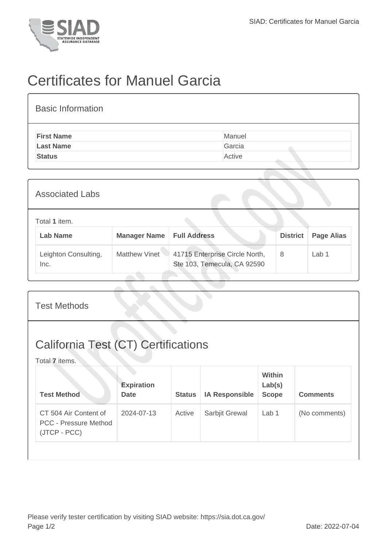

## Certificates for Manuel Garcia

| <b>Basic Information</b> |        |
|--------------------------|--------|
| <b>First Name</b>        | Manuel |
| <b>Last Name</b>         | Garcia |
| <b>Status</b>            | Active |
|                          |        |

| <b>Associated Labs</b>           |                     |                                                               |                 |                   |  |
|----------------------------------|---------------------|---------------------------------------------------------------|-----------------|-------------------|--|
| Total 1 item.<br><b>Lab Name</b> | <b>Manager Name</b> | <b>Full Address</b>                                           | <b>District</b> | <b>Page Alias</b> |  |
| Leighton Consulting,<br>Inc.     | Matthew Vinet       | 41715 Enterprise Circle North,<br>Ste 103, Temecula, CA 92590 | 8               | Lab 1             |  |

| <b>Test Methods</b>                                                   |                                  |               |                       |                                         |                 |  |
|-----------------------------------------------------------------------|----------------------------------|---------------|-----------------------|-----------------------------------------|-----------------|--|
| <b>California Test (CT) Certifications</b><br>Total 7 items.          |                                  |               |                       |                                         |                 |  |
| <b>Test Method</b>                                                    | <b>Expiration</b><br><b>Date</b> | <b>Status</b> | <b>IA Responsible</b> | <b>Within</b><br>Lab(s)<br><b>Scope</b> | <b>Comments</b> |  |
| CT 504 Air Content of<br><b>PCC - Pressure Method</b><br>(JTCP - PCC) | 2024-07-13                       | Active        | Sarbjit Grewal        | Lab 1                                   | (No comments)   |  |
|                                                                       |                                  |               |                       |                                         |                 |  |